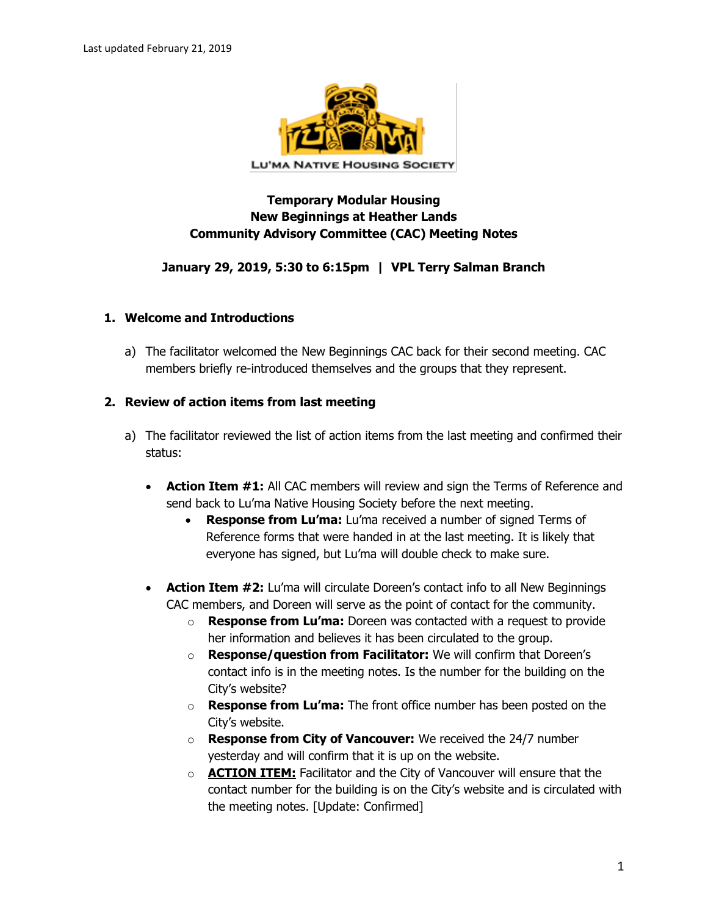

# **Temporary Modular Housing New Beginnings at Heather Lands Community Advisory Committee (CAC) Meeting Notes**

### **January 29, 2019, 5:30 to 6:15pm | VPL Terry Salman Branch**

#### **1. Welcome and Introductions**

a) The facilitator welcomed the New Beginnings CAC back for their second meeting. CAC members briefly re-introduced themselves and the groups that they represent.

#### **2. Review of action items from last meeting**

- a) The facilitator reviewed the list of action items from the last meeting and confirmed their status:
	- **Action Item #1:** All CAC members will review and sign the Terms of Reference and send back to Lu'ma Native Housing Society before the next meeting.
		- **Response from Lu'ma:** Lu'ma received a number of signed Terms of Reference forms that were handed in at the last meeting. It is likely that everyone has signed, but Lu'ma will double check to make sure.
	- **Action Item #2:** Lu'ma will circulate Doreen's contact info to all New Beginnings CAC members, and Doreen will serve as the point of contact for the community.
		- o **Response from Lu'ma:** Doreen was contacted with a request to provide her information and believes it has been circulated to the group.
		- o **Response/question from Facilitator:** We will confirm that Doreen's contact info is in the meeting notes. Is the number for the building on the City's website?
		- o **Response from Lu'ma:** The front office number has been posted on the City's website.
		- o **Response from City of Vancouver:** We received the 24/7 number yesterday and will confirm that it is up on the website.
		- o **ACTION ITEM:** Facilitator and the City of Vancouver will ensure that the contact number for the building is on the City's website and is circulated with the meeting notes. [Update: Confirmed]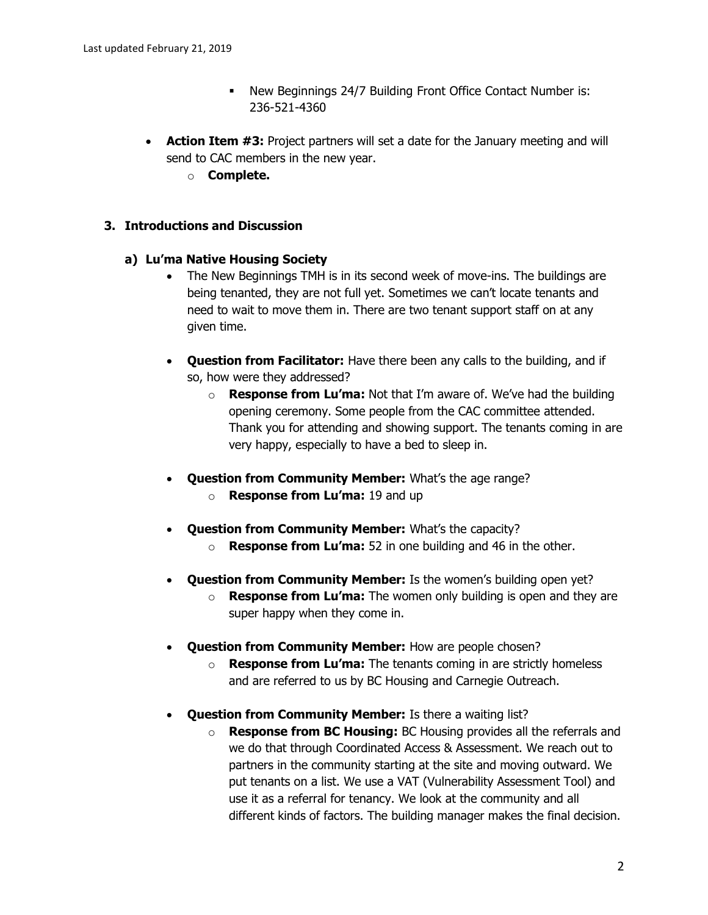- New Beginnings 24/7 Building Front Office Contact Number is: 236-521-4360
- **Action Item #3:** Project partners will set a date for the January meeting and will send to CAC members in the new year.
	- o **Complete.**

### **3. Introductions and Discussion**

#### **a) Lu'ma Native Housing Society**

- The New Beginnings TMH is in its second week of move-ins. The buildings are being tenanted, they are not full yet. Sometimes we can't locate tenants and need to wait to move them in. There are two tenant support staff on at any given time.
- **Question from Facilitator:** Have there been any calls to the building, and if so, how were they addressed?
	- o **Response from Lu'ma:** Not that I'm aware of. We've had the building opening ceremony. Some people from the CAC committee attended. Thank you for attending and showing support. The tenants coming in are very happy, especially to have a bed to sleep in.
- **Question from Community Member:** What's the age range?
	- o **Response from Lu'ma:** 19 and up
- **Question from Community Member:** What's the capacity?
	- o **Response from Lu'ma:** 52 in one building and 46 in the other.
- **Question from Community Member:** Is the women's building open yet?
	- o **Response from Lu'ma:** The women only building is open and they are super happy when they come in.
- **Question from Community Member:** How are people chosen?
	- o **Response from Lu'ma:** The tenants coming in are strictly homeless and are referred to us by BC Housing and Carnegie Outreach.
- **Question from Community Member:** Is there a waiting list?
	- o **Response from BC Housing:** BC Housing provides all the referrals and we do that through Coordinated Access & Assessment. We reach out to partners in the community starting at the site and moving outward. We put tenants on a list. We use a VAT (Vulnerability Assessment Tool) and use it as a referral for tenancy. We look at the community and all different kinds of factors. The building manager makes the final decision.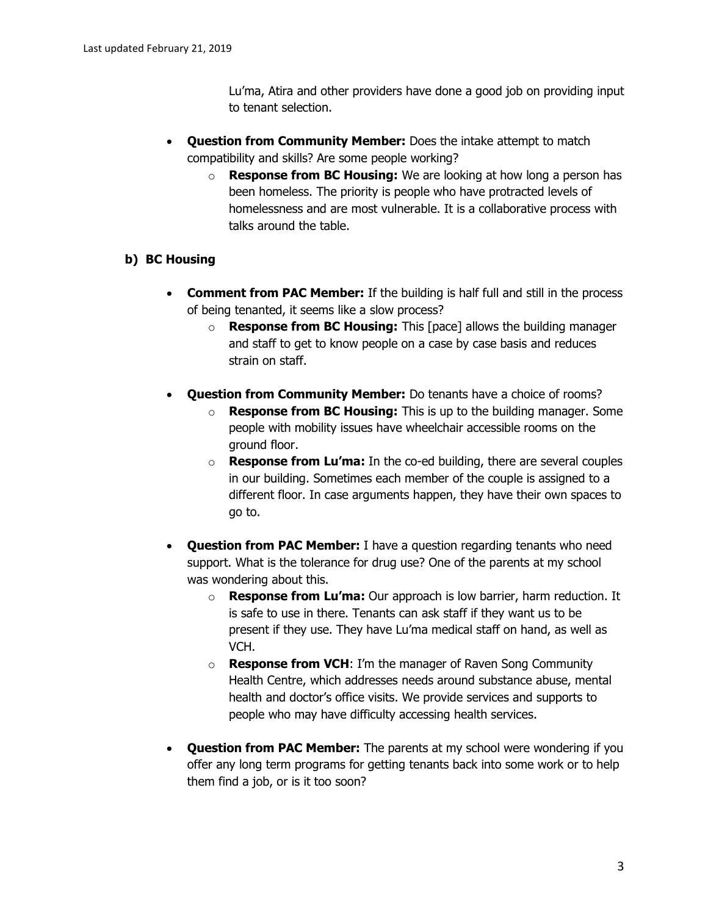Lu'ma, Atira and other providers have done a good job on providing input to tenant selection.

- **Question from Community Member:** Does the intake attempt to match compatibility and skills? Are some people working?
	- o **Response from BC Housing:** We are looking at how long a person has been homeless. The priority is people who have protracted levels of homelessness and are most vulnerable. It is a collaborative process with talks around the table.

# **b) BC Housing**

- **Comment from PAC Member:** If the building is half full and still in the process of being tenanted, it seems like a slow process?
	- o **Response from BC Housing:** This [pace] allows the building manager and staff to get to know people on a case by case basis and reduces strain on staff.
- **Question from Community Member:** Do tenants have a choice of rooms?
	- **Response from BC Housing:** This is up to the building manager. Some people with mobility issues have wheelchair accessible rooms on the ground floor.
	- o **Response from Lu'ma:** In the co-ed building, there are several couples in our building. Sometimes each member of the couple is assigned to a different floor. In case arguments happen, they have their own spaces to go to.
- **Question from PAC Member:** I have a question regarding tenants who need support. What is the tolerance for drug use? One of the parents at my school was wondering about this.
	- o **Response from Lu'ma:** Our approach is low barrier, harm reduction. It is safe to use in there. Tenants can ask staff if they want us to be present if they use. They have Lu'ma medical staff on hand, as well as VCH.
	- o **Response from VCH**: I'm the manager of Raven Song Community Health Centre, which addresses needs around substance abuse, mental health and doctor's office visits. We provide services and supports to people who may have difficulty accessing health services.
- **Question from PAC Member:** The parents at my school were wondering if you offer any long term programs for getting tenants back into some work or to help them find a job, or is it too soon?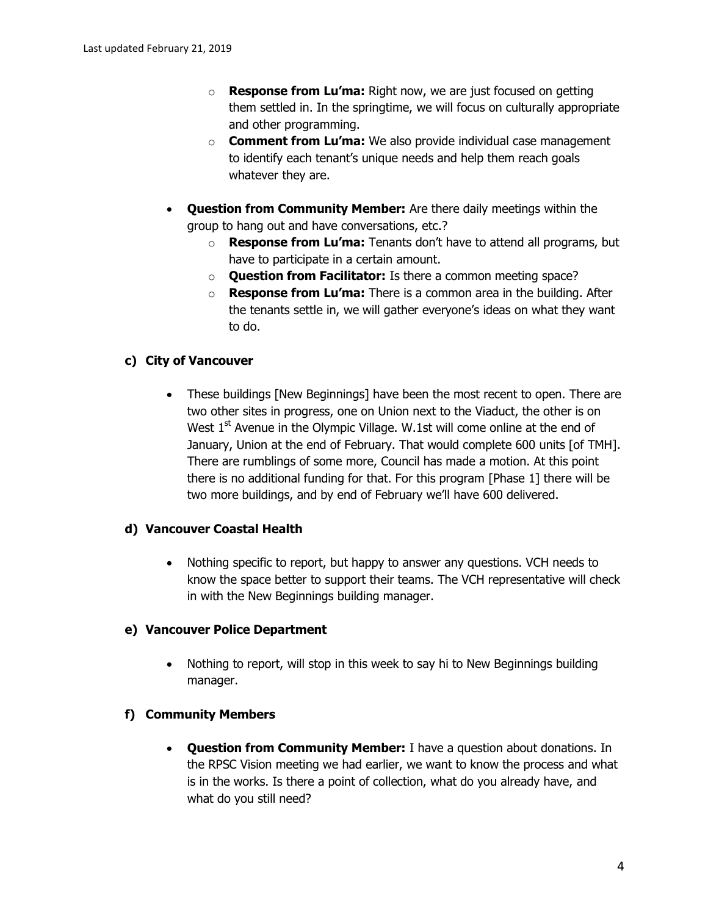- o **Response from Lu'ma:** Right now, we are just focused on getting them settled in. In the springtime, we will focus on culturally appropriate and other programming.
- o **Comment from Lu'ma:** We also provide individual case management to identify each tenant's unique needs and help them reach goals whatever they are.
- **Question from Community Member:** Are there daily meetings within the group to hang out and have conversations, etc.?
	- o **Response from Lu'ma:** Tenants don't have to attend all programs, but have to participate in a certain amount.
	- o **Question from Facilitator:** Is there a common meeting space?
	- o **Response from Lu'ma:** There is a common area in the building. After the tenants settle in, we will gather everyone's ideas on what they want to do.

# **c) City of Vancouver**

• These buildings [New Beginnings] have been the most recent to open. There are two other sites in progress, one on Union next to the Viaduct, the other is on West  $1<sup>st</sup>$  Avenue in the Olympic Village. W.1st will come online at the end of January, Union at the end of February. That would complete 600 units [of TMH]. There are rumblings of some more, Council has made a motion. At this point there is no additional funding for that. For this program [Phase 1] there will be two more buildings, and by end of February we'll have 600 delivered.

# **d) Vancouver Coastal Health**

 Nothing specific to report, but happy to answer any questions. VCH needs to know the space better to support their teams. The VCH representative will check in with the New Beginnings building manager.

# **e) Vancouver Police Department**

 Nothing to report, will stop in this week to say hi to New Beginnings building manager.

# **f) Community Members**

 **Question from Community Member:** I have a question about donations. In the RPSC Vision meeting we had earlier, we want to know the process and what is in the works. Is there a point of collection, what do you already have, and what do you still need?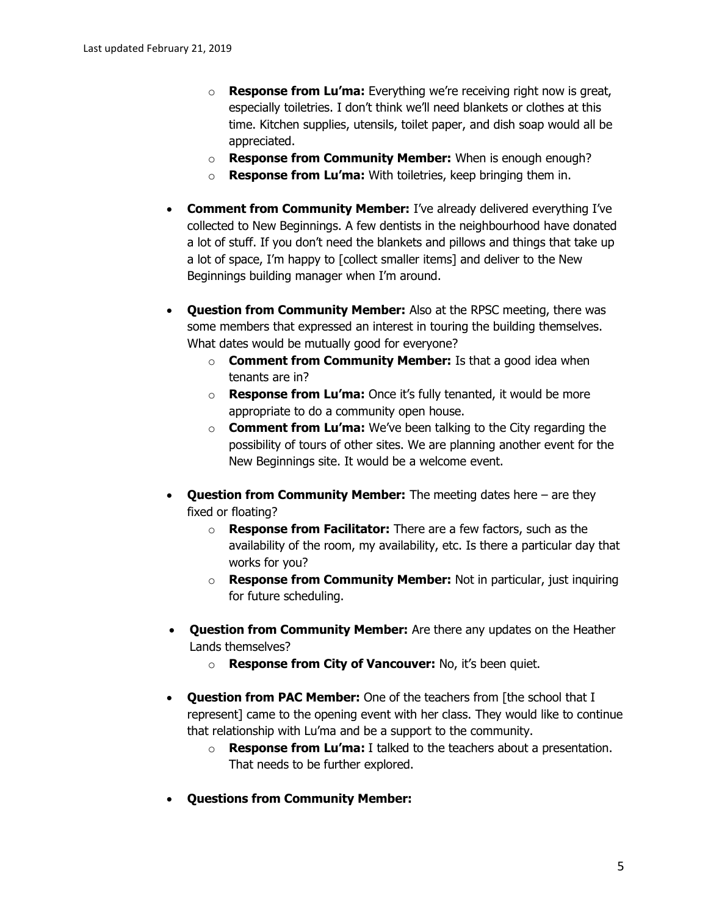- o **Response from Lu'ma:** Everything we're receiving right now is great, especially toiletries. I don't think we'll need blankets or clothes at this time. Kitchen supplies, utensils, toilet paper, and dish soap would all be appreciated.
- o **Response from Community Member:** When is enough enough?
- o **Response from Lu'ma:** With toiletries, keep bringing them in.
- **Comment from Community Member:** I've already delivered everything I've collected to New Beginnings. A few dentists in the neighbourhood have donated a lot of stuff. If you don't need the blankets and pillows and things that take up a lot of space, I'm happy to [collect smaller items] and deliver to the New Beginnings building manager when I'm around.
- **Question from Community Member:** Also at the RPSC meeting, there was some members that expressed an interest in touring the building themselves. What dates would be mutually good for everyone?
	- o **Comment from Community Member:** Is that a good idea when tenants are in?
	- o **Response from Lu'ma:** Once it's fully tenanted, it would be more appropriate to do a community open house.
	- o **Comment from Lu'ma:** We've been talking to the City regarding the possibility of tours of other sites. We are planning another event for the New Beginnings site. It would be a welcome event.
- **Question from Community Member:** The meeting dates here are they fixed or floating?
	- o **Response from Facilitator:** There are a few factors, such as the availability of the room, my availability, etc. Is there a particular day that works for you?
	- o **Response from Community Member:** Not in particular, just inquiring for future scheduling.
- **Question from Community Member:** Are there any updates on the Heather Lands themselves?
	- o **Response from City of Vancouver:** No, it's been quiet.
- **Question from PAC Member:** One of the teachers from [the school that I represent] came to the opening event with her class. They would like to continue that relationship with Lu'ma and be a support to the community.
	- o **Response from Lu'ma:** I talked to the teachers about a presentation. That needs to be further explored.
- **Questions from Community Member:**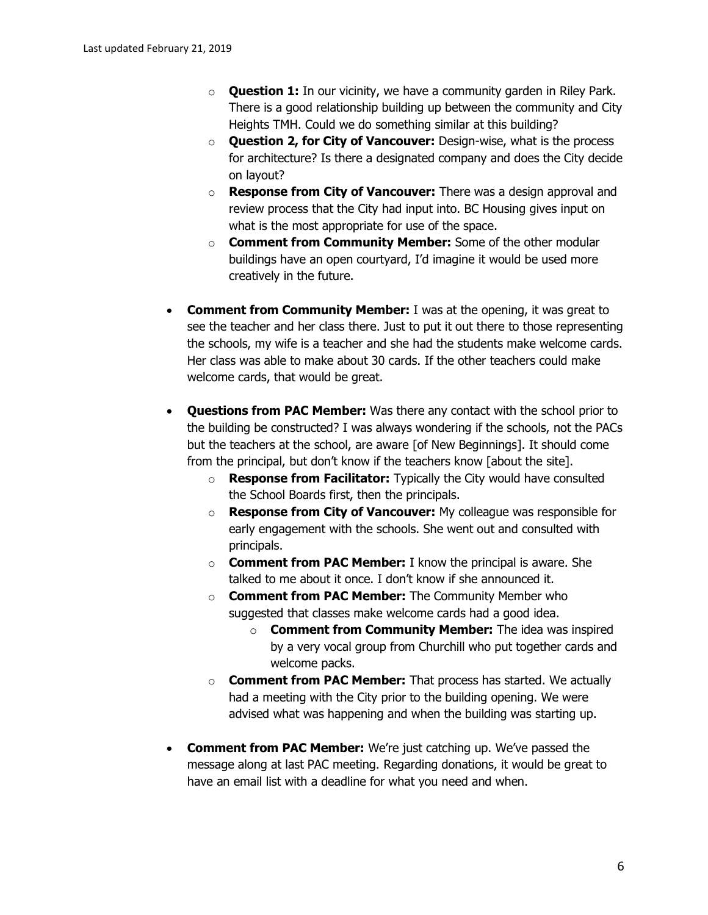- o **Question 1:** In our vicinity, we have a community garden in Riley Park. There is a good relationship building up between the community and City Heights TMH. Could we do something similar at this building?
- o **Question 2, for City of Vancouver:** Design-wise, what is the process for architecture? Is there a designated company and does the City decide on layout?
- o **Response from City of Vancouver:** There was a design approval and review process that the City had input into. BC Housing gives input on what is the most appropriate for use of the space.
- o **Comment from Community Member:** Some of the other modular buildings have an open courtyard, I'd imagine it would be used more creatively in the future.
- **Comment from Community Member:** I was at the opening, it was great to see the teacher and her class there. Just to put it out there to those representing the schools, my wife is a teacher and she had the students make welcome cards. Her class was able to make about 30 cards. If the other teachers could make welcome cards, that would be great.
- **Questions from PAC Member:** Was there any contact with the school prior to the building be constructed? I was always wondering if the schools, not the PACs but the teachers at the school, are aware [of New Beginnings]. It should come from the principal, but don't know if the teachers know [about the site].
	- o **Response from Facilitator:** Typically the City would have consulted the School Boards first, then the principals.
	- o **Response from City of Vancouver:** My colleague was responsible for early engagement with the schools. She went out and consulted with principals.
	- o **Comment from PAC Member:** I know the principal is aware. She talked to me about it once. I don't know if she announced it.
	- o **Comment from PAC Member:** The Community Member who suggested that classes make welcome cards had a good idea.
		- o **Comment from Community Member:** The idea was inspired by a very vocal group from Churchill who put together cards and welcome packs.
	- o **Comment from PAC Member:** That process has started. We actually had a meeting with the City prior to the building opening. We were advised what was happening and when the building was starting up.
- **Comment from PAC Member:** We're just catching up. We've passed the message along at last PAC meeting. Regarding donations, it would be great to have an email list with a deadline for what you need and when.